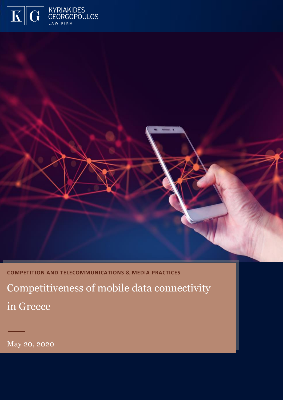



**COMPETITION AND TELECOMMUNICATIONS & MEDIA PRACTICES** Competitiveness of mobile data connectivity in Greece

May 20, 2020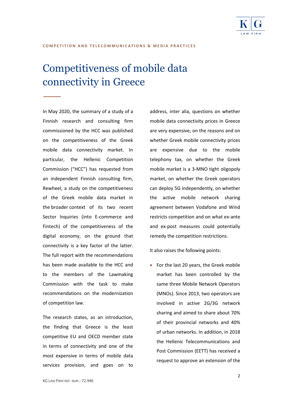

# Competitiveness of mobile data connectivity in Greece

In May 2020, the summary of a study of a Finnish research and consulting firm commissioned by the HCC was published on the competitiveness of the Greek mobile data connectivity market. In particular, the Hellenic Competition Commission ("HCC") has requested from an independent Finnish consulting firm, Rewheel, a study on the competitiveness of the Greek mobile data market in the broader context of its two recent Sector Inquiries (into E-commerce and Fintech) of the competitiveness of the digital economy, on the ground that connectivity is a key factor of the latter. The full report with the recommendations has been made available to the HCC and to the members of the Lawmaking Commission with the task to make recommendations on the modernization of competition law.

The research states, as an introduction, the finding that Greece is the least competitive EU and OECD member state in terms of connectivity and one of the most expensive in terms of mobile data services provision, and goes on to

address, inter alia, questions on whether mobile data connectivity prices in Greece are very expensive, on the reasons and on whether Greek mobile connectivity prices are expensive due to the mobile telephony tax, on whether the Greek mobile market is a 3-MNO tight oligopoly market, on whether the Greek operators can deploy 5G independently, on whether the active mobile network sharing agreement between Vodafone and Wind restricts competition and on what ex-ante and ex-post measures could potentially remedy the competition restrictions.

It also raises the following points:

• For the last 20 years, the Greek mobile market has been controlled by the same three Mobile Network Operators (MNOs). Since 2013, two operators are involved in active 2G/3G network sharing and aimed to share about 70% of their provincial networks and 40% of urban networks. In addition, in 2018 the Hellenic Telecommunications and Post Commission (EETT) has received a request to approve an extension of the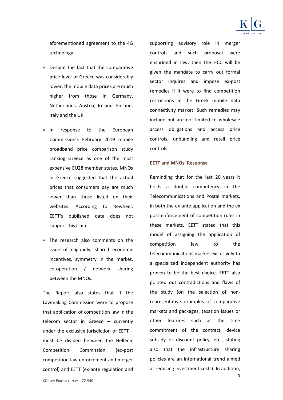

aforementioned agreement to the 4G technology.

- Despite the fact that the comparative price level of Greece was considerably lower, the mobile data prices are much higher from those in Germany, Netherlands, Austria, Ireland, Finland, Italy and the UK.
- In response to the European Commission's February 2019 mobile broadband price comparison study ranking Greece as one of the most expensive EU28 member states, MNOs in Greece suggested that the actual prices that consumers pay are much lower than those listed on their websites. According to Rewheel, EETT's published data does not support this claim.
- The research also comments on the issue of oligopoly, shared economic incentives, symmetry in the market, co-operation / network sharing between the MNOs.

The Report also states that if the Lawmaking Commission were to propose that application of competition law in the telecom sector in Greece – currently under the exclusive jurisdiction of EETT – must be divided between the Hellenic Competition Commission (ex-post competition law enforcement and merger control) and EETT (ex-ante regulation and supporting advisory role in merger control) and such proposal were enshrined in law, then the HCC will be given the mandate to carry out formal sector inquires and impose ex-post remedies if it were to find competition restrictions in the Greek mobile data connectivity market. Such remedies may include but are not limited to wholesale access obligations and access price controls, unbundling and retail price controls.

#### **EETT and MNOs' Response**

Reminding that for the last 20 years it holds a double competency in the Telecommunications and Postal markets, in both the ex-ante application and the ex post enforcement of competition rules in these markets, EETT stated that this model of assigning the application of competition law to the telecommunications market exclusively to a specialized independent authority has proven to be the best choice. EETT also pointed out contradictions and flaws of the study (on the selection of nonrepresentative examples of comparative markets and packages, taxation issues or other features such as the time commitment of the contract, device subsidy or discount policy, etc., stating also that the infrastructure sharing policies are an international trend aimed at reducing investment costs). In addition,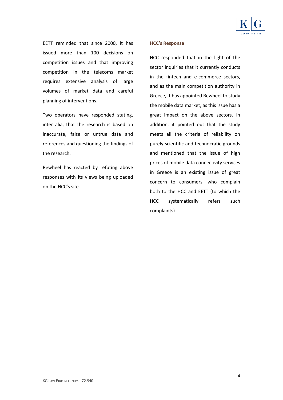

EETT reminded that since 2000, it has issued more than 100 decisions on competition issues and that improving competition in the telecoms market requires extensive analysis of large volumes of market data and careful planning of interventions.

Two operators have responded stating, inter alia, that the research is based on inaccurate, false or untrue data and references and questioning the findings of the research.

Rewheel has reacted by refuting above responses with its views being uploaded on the HCC's site.

### **HCC's Response**

HCC responded that in the light of the sector inquiries that it currently conducts in the fintech and e-commerce sectors, and as the main competition authority in Greece, it has appointed Rewheel to study the mobile data market, as this issue has a great impact on the above sectors. In addition, it pointed out that the study meets all the criteria of reliability on purely scientific and technocratic grounds and mentioned that the issue of high prices of mobile data connectivity services in Greece is an existing issue of great concern to consumers, who complain both to the HCC and EETT (to which the HCC systematically refers such complaints).